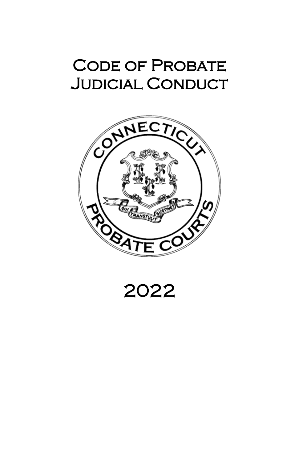# CODE OF PROBATE Judicial Conduct



2022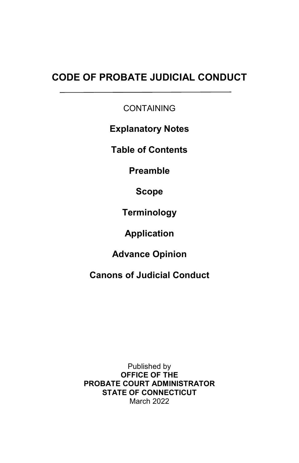## **CODE OF PROBATE JUDICIAL CONDUCT**

**CONTAINING** 

**Explanatory Notes**

**Table of Contents** 

**Preamble** 

**Scope**

**Terminology**

**Application**

**Advance Opinion**

**Canons of Judicial Conduct**

Published by **OFFICE OF THE PROBATE COURT ADMINISTRATOR STATE OF CONNECTICUT** March 2022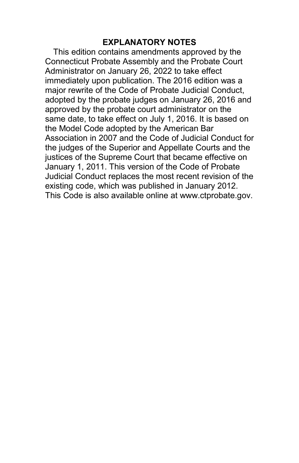#### **EXPLANATORY NOTES**

This edition contains amendments approved by the Connecticut Probate Assembly and the Probate Court Administrator on January 26, 2022 to take effect immediately upon publication. The 2016 edition was a major rewrite of the Code of Probate Judicial Conduct, adopted by the probate judges on January 26, 2016 and approved by the probate court administrator on the same date, to take effect on July 1, 2016. It is based on the Model Code adopted by the American Bar Association in 2007 and the Code of Judicial Conduct for the judges of the Superior and Appellate Courts and the justices of the Supreme Court that became effective on January 1, 2011. This version of the Code of Probate Judicial Conduct replaces the most recent revision of the existing code, which was published in January 2012. This Code is also available online at www.ctprobate.gov.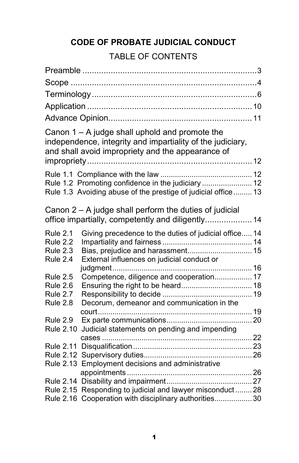## **CODE OF PROBATE JUDICIAL CONDUCT**

## TABLE OF CONTENTS

|                  | Canon 1 - A judge shall uphold and promote the<br>independence, integrity and impartiality of the judiciary,<br>and shall avoid impropriety and the appearance of |  |
|------------------|-------------------------------------------------------------------------------------------------------------------------------------------------------------------|--|
|                  |                                                                                                                                                                   |  |
|                  | Rule 1.2 Promoting confidence in the judiciary  12                                                                                                                |  |
|                  | Rule 1.3 Avoiding abuse of the prestige of judicial office 13                                                                                                     |  |
|                  |                                                                                                                                                                   |  |
|                  | Canon $2 - A$ judge shall perform the duties of judicial<br>office impartially, competently and diligently 14                                                     |  |
| <b>Rule 2.1</b>  | Giving precedence to the duties of judicial office 14                                                                                                             |  |
| Rule 2.2         |                                                                                                                                                                   |  |
| Rule 2.3         | Bias, prejudice and harassment 15                                                                                                                                 |  |
| Rule 2.4         | External influences on judicial conduct or                                                                                                                        |  |
|                  |                                                                                                                                                                   |  |
| <b>Rule 2.5</b>  | Competence, diligence and cooperation 17                                                                                                                          |  |
| Rule 2.6         |                                                                                                                                                                   |  |
| Rule 2.7         |                                                                                                                                                                   |  |
| <b>Rule 2.8</b>  | Decorum, demeanor and communication in the                                                                                                                        |  |
| <b>Rule 2.9</b>  |                                                                                                                                                                   |  |
| <b>Rule 2.10</b> | Judicial statements on pending and impending                                                                                                                      |  |
|                  |                                                                                                                                                                   |  |
| <b>Rule 2.11</b> |                                                                                                                                                                   |  |
| <b>Rule 2.12</b> |                                                                                                                                                                   |  |
| <b>Rule 2.13</b> | Employment decisions and administrative                                                                                                                           |  |
|                  |                                                                                                                                                                   |  |
|                  |                                                                                                                                                                   |  |
|                  | Rule 2.15 Responding to judicial and lawyer misconduct 28                                                                                                         |  |
|                  | Rule 2.16 Cooperation with disciplinary authorities 30                                                                                                            |  |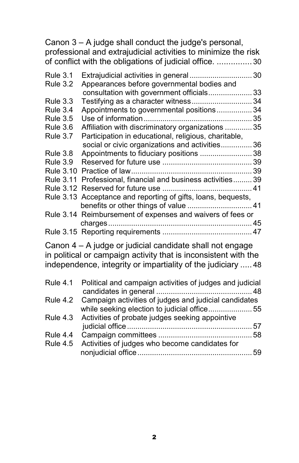Canon 3 – A judge shall conduct the judge's personal, professional and extrajudicial activities to minimize the risk of conflict with the obligations of judicial office. ............... 30

| <b>Rule 3.1</b> | Extrajudicial activities in general  30                       |    |
|-----------------|---------------------------------------------------------------|----|
| <b>Rule 3.2</b> | Appearances before governmental bodies and                    |    |
|                 | consultation with government officials 33                     |    |
| <b>Rule 3.3</b> | Testifying as a character witness34                           |    |
| <b>Rule 3.4</b> | Appointments to governmental positions                        | 34 |
| <b>Rule 3.5</b> |                                                               |    |
| <b>Rule 3.6</b> | Affiliation with discriminatory organizations  35             |    |
| <b>Rule 3.7</b> | Participation in educational, religious, charitable,          |    |
|                 | social or civic organizations and activities 36               |    |
| <b>Rule 3.8</b> | Appointments to fiduciary positions 38                        |    |
| Rule 3.9        |                                                               |    |
|                 |                                                               |    |
|                 | Rule 3.11 Professional, financial and business activities 39  |    |
|                 |                                                               |    |
|                 | Rule 3.13 Acceptance and reporting of gifts, loans, bequests, |    |
|                 |                                                               |    |
|                 | Rule 3.14 Reimbursement of expenses and waivers of fees or    |    |
|                 |                                                               |    |
|                 |                                                               |    |
|                 |                                                               |    |

Canon 4 – A judge or judicial candidate shall not engage in political or campaign activity that is inconsistent with the independence, integrity or impartiality of the judiciary ..... 48

|                 | Rule 4.1 Political and campaign activities of judges and judicial |  |
|-----------------|-------------------------------------------------------------------|--|
|                 |                                                                   |  |
|                 | Rule 4.2 Campaign activities of judges and judicial candidates    |  |
|                 | while seeking election to judicial office55                       |  |
|                 | Rule 4.3 Activities of probate judges seeking appointive          |  |
|                 |                                                                   |  |
| Rule 4.4        |                                                                   |  |
| <b>Rule 4.5</b> | Activities of judges who become candidates for                    |  |
|                 |                                                                   |  |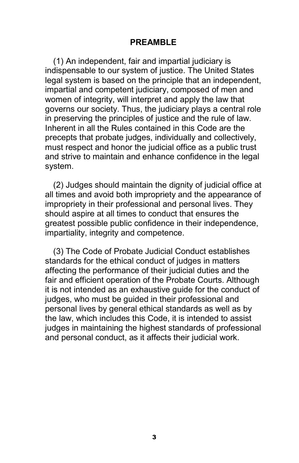#### **PREAMBLE**

(1) An independent, fair and impartial judiciary is indispensable to our system of justice. The United States legal system is based on the principle that an independent, impartial and competent judiciary, composed of men and women of integrity, will interpret and apply the law that governs our society. Thus, the judiciary plays a central role in preserving the principles of justice and the rule of law. Inherent in all the Rules contained in this Code are the precepts that probate judges, individually and collectively, must respect and honor the judicial office as a public trust and strive to maintain and enhance confidence in the legal system.

(2) Judges should maintain the dignity of judicial office at all times and avoid both impropriety and the appearance of impropriety in their professional and personal lives. They should aspire at all times to conduct that ensures the greatest possible public confidence in their independence, impartiality, integrity and competence.

(3) The Code of Probate Judicial Conduct establishes standards for the ethical conduct of judges in matters affecting the performance of their judicial duties and the fair and efficient operation of the Probate Courts. Although it is not intended as an exhaustive guide for the conduct of judges, who must be guided in their professional and personal lives by general ethical standards as well as by the law, which includes this Code, it is intended to assist judges in maintaining the highest standards of professional and personal conduct, as it affects their judicial work.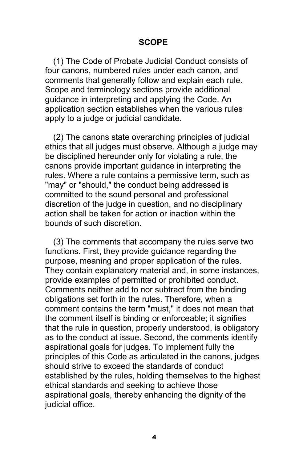#### **SCOPE**

(1) The Code of Probate Judicial Conduct consists of four canons, numbered rules under each canon, and comments that generally follow and explain each rule. Scope and terminology sections provide additional guidance in interpreting and applying the Code. An application section establishes when the various rules apply to a judge or judicial candidate.

(2) The canons state overarching principles of judicial ethics that all judges must observe. Although a judge may be disciplined hereunder only for violating a rule, the canons provide important guidance in interpreting the rules. Where a rule contains a permissive term, such as "may" or "should," the conduct being addressed is committed to the sound personal and professional discretion of the judge in question, and no disciplinary action shall be taken for action or inaction within the bounds of such discretion.

(3) The comments that accompany the rules serve two functions. First, they provide guidance regarding the purpose, meaning and proper application of the rules. They contain explanatory material and, in some instances, provide examples of permitted or prohibited conduct. Comments neither add to nor subtract from the binding obligations set forth in the rules. Therefore, when a comment contains the term "must," it does not mean that the comment itself is binding or enforceable; it signifies that the rule in question, properly understood, is obligatory as to the conduct at issue. Second, the comments identify aspirational goals for judges. To implement fully the principles of this Code as articulated in the canons, judges should strive to exceed the standards of conduct established by the rules, holding themselves to the highest ethical standards and seeking to achieve those aspirational goals, thereby enhancing the dignity of the judicial office.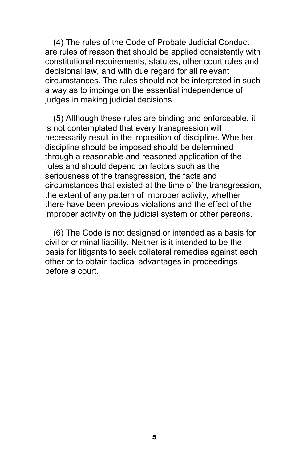(4) The rules of the Code of Probate Judicial Conduct are rules of reason that should be applied consistently with constitutional requirements, statutes, other court rules and decisional law, and with due regard for all relevant circumstances. The rules should not be interpreted in such a way as to impinge on the essential independence of judges in making judicial decisions.

(5) Although these rules are binding and enforceable, it is not contemplated that every transgression will necessarily result in the imposition of discipline. Whether discipline should be imposed should be determined through a reasonable and reasoned application of the rules and should depend on factors such as the seriousness of the transgression, the facts and circumstances that existed at the time of the transgression, the extent of any pattern of improper activity, whether there have been previous violations and the effect of the improper activity on the judicial system or other persons.

(6) The Code is not designed or intended as a basis for civil or criminal liability. Neither is it intended to be the basis for litigants to seek collateral remedies against each other or to obtain tactical advantages in proceedings before a court.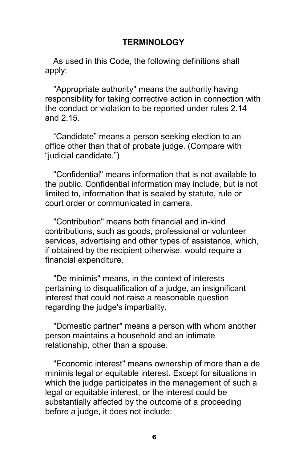#### **TERMINOLOGY**

As used in this Code, the following definitions shall apply:

"Appropriate authority" means the authority having responsibility for taking corrective action in connection with the conduct or violation to be reported under rules 2.14 and 2.15.

"Candidate" means a person seeking election to an office other than that of probate judge. (Compare with "judicial candidate.")

"Confidential" means information that is not available to the public. Confidential information may include, but is not limited to, information that is sealed by statute, rule or court order or communicated in camera.

"Contribution" means both financial and in-kind contributions, such as goods, professional or volunteer services, advertising and other types of assistance, which, if obtained by the recipient otherwise, would require a financial expenditure.

"De minimis" means, in the context of interests pertaining to disqualification of a judge, an insignificant interest that could not raise a reasonable question regarding the judge's impartiality.

"Domestic partner" means a person with whom another person maintains a household and an intimate relationship, other than a spouse.

"Economic interest" means ownership of more than a de minimis legal or equitable interest. Except for situations in which the judge participates in the management of such a legal or equitable interest, or the interest could be substantially affected by the outcome of a proceeding before a judge, it does not include: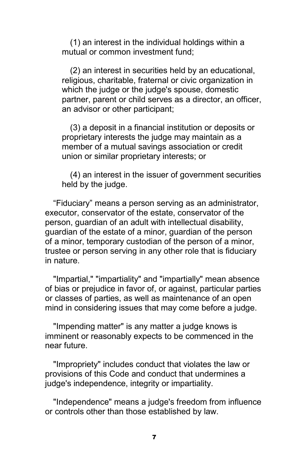(1) an interest in the individual holdings within a mutual or common investment fund;

(2) an interest in securities held by an educational, religious, charitable, fraternal or civic organization in which the judge or the judge's spouse, domestic partner, parent or child serves as a director, an officer, an advisor or other participant;

(3) a deposit in a financial institution or deposits or proprietary interests the judge may maintain as a member of a mutual savings association or credit union or similar proprietary interests; or

(4) an interest in the issuer of government securities held by the judge.

"Fiduciary" means a person serving as an administrator, executor, conservator of the estate, conservator of the person, guardian of an adult with intellectual disability, guardian of the estate of a minor, guardian of the person of a minor, temporary custodian of the person of a minor, trustee or person serving in any other role that is fiduciary in nature.

"Impartial," "impartiality" and "impartially" mean absence of bias or prejudice in favor of, or against, particular parties or classes of parties, as well as maintenance of an open mind in considering issues that may come before a judge.

"Impending matter" is any matter a judge knows is imminent or reasonably expects to be commenced in the near future.

"Impropriety" includes conduct that violates the law or provisions of this Code and conduct that undermines a judge's independence, integrity or impartiality.

"Independence" means a judge's freedom from influence or controls other than those established by law.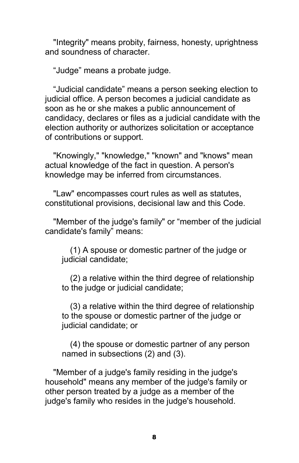"Integrity" means probity, fairness, honesty, uprightness and soundness of character.

"Judge" means a probate judge.

"Judicial candidate" means a person seeking election to judicial office. A person becomes a judicial candidate as soon as he or she makes a public announcement of candidacy, declares or files as a judicial candidate with the election authority or authorizes solicitation or acceptance of contributions or support.

"Knowingly," "knowledge," "known" and "knows" mean actual knowledge of the fact in question. A person's knowledge may be inferred from circumstances.

"Law" encompasses court rules as well as statutes, constitutional provisions, decisional law and this Code.

"Member of the judge's family" or "member of the judicial candidate's family" means:

(1) A spouse or domestic partner of the judge or judicial candidate;

(2) a relative within the third degree of relationship to the judge or judicial candidate;

(3) a relative within the third degree of relationship to the spouse or domestic partner of the judge or judicial candidate; or

(4) the spouse or domestic partner of any person named in subsections (2) and (3).

"Member of a judge's family residing in the judge's household" means any member of the judge's family or other person treated by a judge as a member of the judge's family who resides in the judge's household.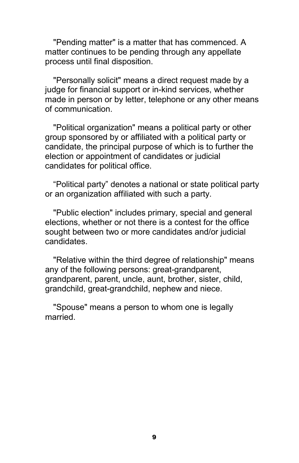"Pending matter" is a matter that has commenced. A matter continues to be pending through any appellate process until final disposition.

"Personally solicit" means a direct request made by a judge for financial support or in-kind services, whether made in person or by letter, telephone or any other means of communication.

"Political organization" means a political party or other group sponsored by or affiliated with a political party or candidate, the principal purpose of which is to further the election or appointment of candidates or judicial candidates for political office.

"Political party" denotes a national or state political party or an organization affiliated with such a party.

"Public election" includes primary, special and general elections, whether or not there is a contest for the office sought between two or more candidates and/or judicial candidates.

"Relative within the third degree of relationship" means any of the following persons: great-grandparent, grandparent, parent, uncle, aunt, brother, sister, child, grandchild, great-grandchild, nephew and niece.

"Spouse" means a person to whom one is legally married.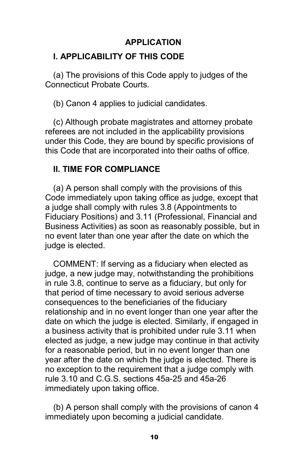#### **APPLICATION**

#### **I. APPLICABILITY OF THIS CODE**

(a) The provisions of this Code apply to judges of the Connecticut Probate Courts.

(b) Canon 4 applies to judicial candidates.

(c) Although probate magistrates and attorney probate referees are not included in the applicability provisions under this Code, they are bound by specific provisions of this Code that are incorporated into their oaths of office.

#### **II. TIME FOR COMPLIANCE**

(a) A person shall comply with the provisions of this Code immediately upon taking office as judge, except that a judge shall comply with rules 3.8 (Appointments to Fiduciary Positions) and 3.11 (Professional, Financial and Business Activities) as soon as reasonably possible, but in no event later than one year after the date on which the judge is elected.

COMMENT: If serving as a fiduciary when elected as judge, a new judge may, notwithstanding the prohibitions in rule 3.8, continue to serve as a fiduciary, but only for that period of time necessary to avoid serious adverse consequences to the beneficiaries of the fiduciary relationship and in no event longer than one year after the date on which the judge is elected. Similarly, if engaged in a business activity that is prohibited under rule 3.11 when elected as judge, a new judge may continue in that activity for a reasonable period, but in no event longer than one year after the date on which the judge is elected. There is no exception to the requirement that a judge comply with rule 3.10 and C.G.S. sections 45a-25 and 45a-26 immediately upon taking office.

(b) A person shall comply with the provisions of canon 4 immediately upon becoming a judicial candidate.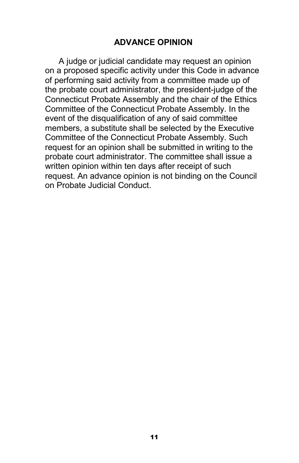#### **ADVANCE OPINION**

A judge or judicial candidate may request an opinion on a proposed specific activity under this Code in advance of performing said activity from a committee made up of the probate court administrator, the president-judge of the Connecticut Probate Assembly and the chair of the Ethics Committee of the Connecticut Probate Assembly. In the event of the disqualification of any of said committee members, a substitute shall be selected by the Executive Committee of the Connecticut Probate Assembly. Such request for an opinion shall be submitted in writing to the probate court administrator. The committee shall issue a written opinion within ten days after receipt of such request. An advance opinion is not binding on the Council on Probate Judicial Conduct.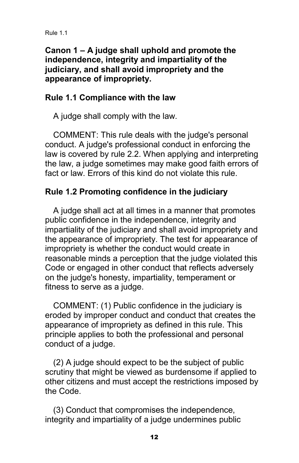#### **Canon 1 – A judge shall uphold and promote the independence, integrity and impartiality of the judiciary, and shall avoid impropriety and the appearance of impropriety.**

#### **Rule 1.1 Compliance with the law**

A judge shall comply with the law.

COMMENT: This rule deals with the judge's personal conduct. A judge's professional conduct in enforcing the law is covered by rule 2.2. When applying and interpreting the law, a judge sometimes may make good faith errors of fact or law. Errors of this kind do not violate this rule.

### **Rule 1.2 Promoting confidence in the judiciary**

A judge shall act at all times in a manner that promotes public confidence in the independence, integrity and impartiality of the judiciary and shall avoid impropriety and the appearance of impropriety. The test for appearance of impropriety is whether the conduct would create in reasonable minds a perception that the judge violated this Code or engaged in other conduct that reflects adversely on the judge's honesty, impartiality, temperament or fitness to serve as a judge.

COMMENT: (1) Public confidence in the judiciary is eroded by improper conduct and conduct that creates the appearance of impropriety as defined in this rule. This principle applies to both the professional and personal conduct of a judge.

(2) A judge should expect to be the subject of public scrutiny that might be viewed as burdensome if applied to other citizens and must accept the restrictions imposed by the Code.

(3) Conduct that compromises the independence, integrity and impartiality of a judge undermines public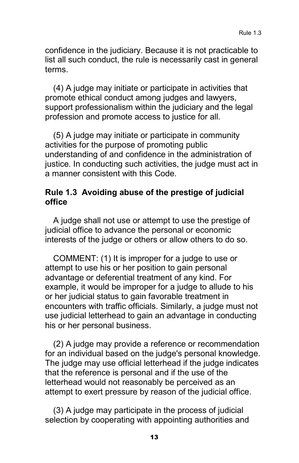confidence in the judiciary. Because it is not practicable to list all such conduct, the rule is necessarily cast in general terms.

(4) A judge may initiate or participate in activities that promote ethical conduct among judges and lawyers, support professionalism within the judiciary and the legal profession and promote access to justice for all.

(5) A judge may initiate or participate in community activities for the purpose of promoting public understanding of and confidence in the administration of justice. In conducting such activities, the judge must act in a manner consistent with this Code.

#### **Rule 1.3 Avoiding abuse of the prestige of judicial office**

A judge shall not use or attempt to use the prestige of judicial office to advance the personal or economic interests of the judge or others or allow others to do so.

COMMENT: (1) It is improper for a judge to use or attempt to use his or her position to gain personal advantage or deferential treatment of any kind. For example, it would be improper for a judge to allude to his or her judicial status to gain favorable treatment in encounters with traffic officials. Similarly, a judge must not use judicial letterhead to gain an advantage in conducting his or her personal business.

(2) A judge may provide a reference or recommendation for an individual based on the judge's personal knowledge. The judge may use official letterhead if the judge indicates that the reference is personal and if the use of the letterhead would not reasonably be perceived as an attempt to exert pressure by reason of the judicial office.

(3) A judge may participate in the process of judicial selection by cooperating with appointing authorities and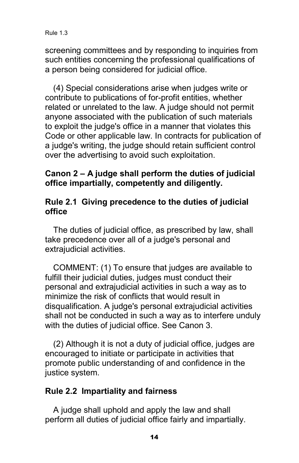screening committees and by responding to inquiries from such entities concerning the professional qualifications of a person being considered for judicial office.

(4) Special considerations arise when judges write or contribute to publications of for-profit entities, whether related or unrelated to the law. A judge should not permit anyone associated with the publication of such materials to exploit the judge's office in a manner that violates this Code or other applicable law. In contracts for publication of a judge's writing, the judge should retain sufficient control over the advertising to avoid such exploitation.

#### **Canon 2 – A judge shall perform the duties of judicial office impartially, competently and diligently.**

#### **Rule 2.1 Giving precedence to the duties of judicial office**

The duties of judicial office, as prescribed by law, shall take precedence over all of a judge's personal and extrajudicial activities.

COMMENT: (1) To ensure that judges are available to fulfill their judicial duties, judges must conduct their personal and extrajudicial activities in such a way as to minimize the risk of conflicts that would result in disqualification. A judge's personal extrajudicial activities shall not be conducted in such a way as to interfere unduly with the duties of judicial office. See Canon 3.

(2) Although it is not a duty of judicial office, judges are encouraged to initiate or participate in activities that promote public understanding of and confidence in the justice system.

#### **Rule 2.2 Impartiality and fairness**

A judge shall uphold and apply the law and shall perform all duties of judicial office fairly and impartially.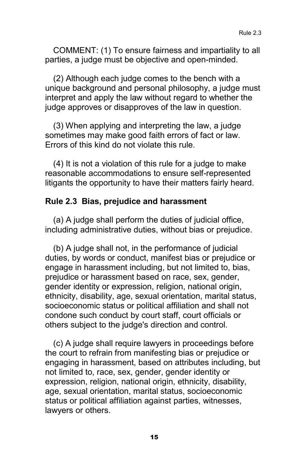COMMENT: (1) To ensure fairness and impartiality to all parties, a judge must be objective and open-minded.

(2) Although each judge comes to the bench with a unique background and personal philosophy, a judge must interpret and apply the law without regard to whether the judge approves or disapproves of the law in question.

(3) When applying and interpreting the law, a judge sometimes may make good faith errors of fact or law. Errors of this kind do not violate this rule.

(4) It is not a violation of this rule for a judge to make reasonable accommodations to ensure self-represented litigants the opportunity to have their matters fairly heard.

#### **Rule 2.3 Bias, prejudice and harassment**

(a) A judge shall perform the duties of judicial office, including administrative duties, without bias or prejudice.

(b) A judge shall not, in the performance of judicial duties, by words or conduct, manifest bias or prejudice or engage in harassment including, but not limited to, bias, prejudice or harassment based on race, sex, gender, gender identity or expression, religion, national origin, ethnicity, disability, age, sexual orientation, marital status, socioeconomic status or political affiliation and shall not condone such conduct by court staff, court officials or others subject to the judge's direction and control.

(c) A judge shall require lawyers in proceedings before the court to refrain from manifesting bias or prejudice or engaging in harassment, based on attributes including, but not limited to, race, sex, gender, gender identity or expression, religion, national origin, ethnicity, disability, age, sexual orientation, marital status, socioeconomic status or political affiliation against parties, witnesses, lawyers or others.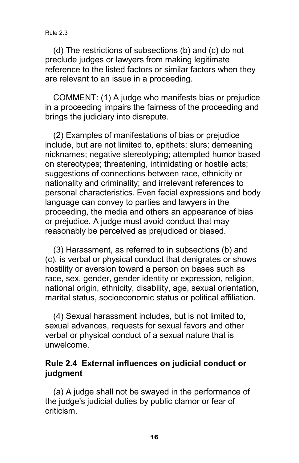(d) The restrictions of subsections (b) and (c) do not preclude judges or lawyers from making legitimate reference to the listed factors or similar factors when they are relevant to an issue in a proceeding.

COMMENT: (1) A judge who manifests bias or prejudice in a proceeding impairs the fairness of the proceeding and brings the judiciary into disrepute.

(2) Examples of manifestations of bias or prejudice include, but are not limited to, epithets; slurs; demeaning nicknames; negative stereotyping; attempted humor based on stereotypes; threatening, intimidating or hostile acts; suggestions of connections between race, ethnicity or nationality and criminality; and irrelevant references to personal characteristics. Even facial expressions and body language can convey to parties and lawyers in the proceeding, the media and others an appearance of bias or prejudice. A judge must avoid conduct that may reasonably be perceived as prejudiced or biased.

(3) Harassment, as referred to in subsections (b) and (c), is verbal or physical conduct that denigrates or shows hostility or aversion toward a person on bases such as race, sex, gender, gender identity or expression, religion, national origin, ethnicity, disability, age, sexual orientation, marital status, socioeconomic status or political affiliation.

(4) Sexual harassment includes, but is not limited to, sexual advances, requests for sexual favors and other verbal or physical conduct of a sexual nature that is unwelcome.

#### **Rule 2.4 External influences on judicial conduct or judgment**

(a) A judge shall not be swayed in the performance of the judge's judicial duties by public clamor or fear of criticism.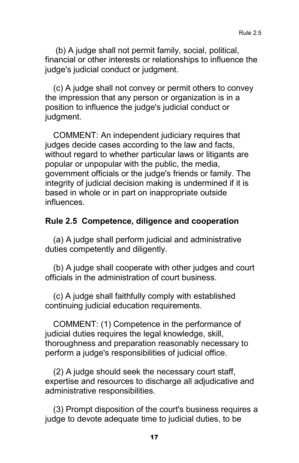(b) A judge shall not permit family, social, political, financial or other interests or relationships to influence the judge's judicial conduct or judgment.

(c) A judge shall not convey or permit others to convey the impression that any person or organization is in a position to influence the judge's judicial conduct or judgment.

COMMENT: An independent judiciary requires that judges decide cases according to the law and facts, without regard to whether particular laws or litigants are popular or unpopular with the public, the media, government officials or the judge's friends or family. The integrity of judicial decision making is undermined if it is based in whole or in part on inappropriate outside influences.

#### **Rule 2.5 Competence, diligence and cooperation**

(a) A judge shall perform judicial and administrative duties competently and diligently.

(b) A judge shall cooperate with other judges and court officials in the administration of court business.

(c) A judge shall faithfully comply with established continuing judicial education requirements.

COMMENT: (1) Competence in the performance of judicial duties requires the legal knowledge, skill, thoroughness and preparation reasonably necessary to perform a judge's responsibilities of judicial office.

(2) A judge should seek the necessary court staff, expertise and resources to discharge all adjudicative and administrative responsibilities.

(3) Prompt disposition of the court's business requires a judge to devote adequate time to judicial duties, to be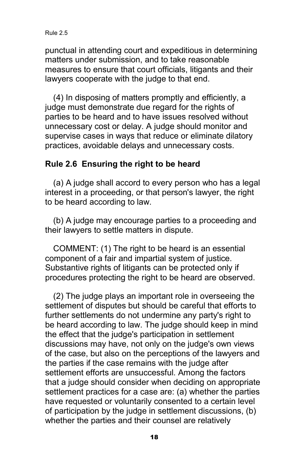punctual in attending court and expeditious in determining matters under submission, and to take reasonable measures to ensure that court officials, litigants and their lawyers cooperate with the judge to that end.

(4) In disposing of matters promptly and efficiently, a judge must demonstrate due regard for the rights of parties to be heard and to have issues resolved without unnecessary cost or delay. A judge should monitor and supervise cases in ways that reduce or eliminate dilatory practices, avoidable delays and unnecessary costs.

#### **Rule 2.6 Ensuring the right to be heard**

(a) A judge shall accord to every person who has a legal interest in a proceeding, or that person's lawyer, the right to be heard according to law.

(b) A judge may encourage parties to a proceeding and their lawyers to settle matters in dispute.

COMMENT: (1) The right to be heard is an essential component of a fair and impartial system of justice. Substantive rights of litigants can be protected only if procedures protecting the right to be heard are observed.

(2) The judge plays an important role in overseeing the settlement of disputes but should be careful that efforts to further settlements do not undermine any party's right to be heard according to law. The judge should keep in mind the effect that the judge's participation in settlement discussions may have, not only on the judge's own views of the case, but also on the perceptions of the lawyers and the parties if the case remains with the judge after settlement efforts are unsuccessful. Among the factors that a judge should consider when deciding on appropriate settlement practices for a case are: (a) whether the parties have requested or voluntarily consented to a certain level of participation by the judge in settlement discussions, (b) whether the parties and their counsel are relatively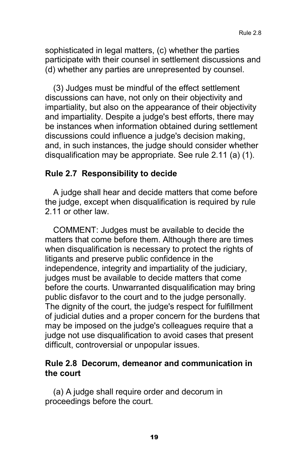sophisticated in legal matters, (c) whether the parties participate with their counsel in settlement discussions and (d) whether any parties are unrepresented by counsel.

(3) Judges must be mindful of the effect settlement discussions can have, not only on their objectivity and impartiality, but also on the appearance of their objectivity and impartiality. Despite a judge's best efforts, there may be instances when information obtained during settlement discussions could influence a judge's decision making, and, in such instances, the judge should consider whether disqualification may be appropriate. See rule 2.11 (a) (1).

#### **Rule 2.7 Responsibility to decide**

A judge shall hear and decide matters that come before the judge, except when disqualification is required by rule 2.11 or other law.

COMMENT: Judges must be available to decide the matters that come before them. Although there are times when disqualification is necessary to protect the rights of litigants and preserve public confidence in the independence, integrity and impartiality of the judiciary, judges must be available to decide matters that come before the courts. Unwarranted disqualification may bring public disfavor to the court and to the judge personally. The dignity of the court, the judge's respect for fulfillment of judicial duties and a proper concern for the burdens that may be imposed on the judge's colleagues require that a judge not use disqualification to avoid cases that present difficult, controversial or unpopular issues.

#### **Rule 2.8 Decorum, demeanor and communication in the court**

(a) A judge shall require order and decorum in proceedings before the court.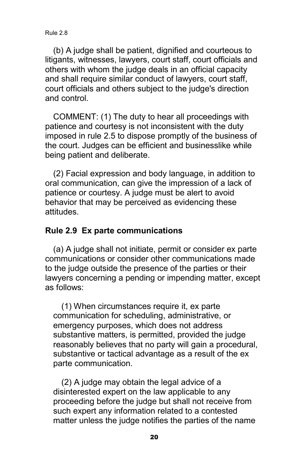(b) A judge shall be patient, dignified and courteous to litigants, witnesses, lawyers, court staff, court officials and others with whom the judge deals in an official capacity and shall require similar conduct of lawyers, court staff, court officials and others subject to the judge's direction and control.

COMMENT: (1) The duty to hear all proceedings with patience and courtesy is not inconsistent with the duty imposed in rule 2.5 to dispose promptly of the business of the court. Judges can be efficient and businesslike while being patient and deliberate.

(2) Facial expression and body language, in addition to oral communication, can give the impression of a lack of patience or courtesy. A judge must be alert to avoid behavior that may be perceived as evidencing these attitudes.

#### **Rule 2.9 Ex parte communications**

(a) A judge shall not initiate, permit or consider ex parte communications or consider other communications made to the judge outside the presence of the parties or their lawyers concerning a pending or impending matter, except as follows:

(1) When circumstances require it, ex parte communication for scheduling, administrative, or emergency purposes, which does not address substantive matters, is permitted, provided the judge reasonably believes that no party will gain a procedural, substantive or tactical advantage as a result of the ex parte communication.

(2) A judge may obtain the legal advice of a disinterested expert on the law applicable to any proceeding before the judge but shall not receive from such expert any information related to a contested matter unless the judge notifies the parties of the name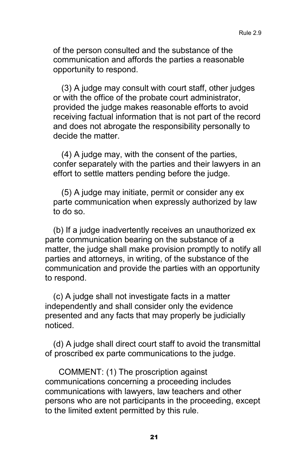of the person consulted and the substance of the communication and affords the parties a reasonable opportunity to respond.

(3) A judge may consult with court staff, other judges or with the office of the probate court administrator, provided the judge makes reasonable efforts to avoid receiving factual information that is not part of the record and does not abrogate the responsibility personally to decide the matter.

(4) A judge may, with the consent of the parties, confer separately with the parties and their lawyers in an effort to settle matters pending before the judge.

(5) A judge may initiate, permit or consider any ex parte communication when expressly authorized by law to do so.

(b) If a judge inadvertently receives an unauthorized ex parte communication bearing on the substance of a matter, the judge shall make provision promptly to notify all parties and attorneys, in writing, of the substance of the communication and provide the parties with an opportunity to respond.

(c) A judge shall not investigate facts in a matter independently and shall consider only the evidence presented and any facts that may properly be judicially noticed.

(d) A judge shall direct court staff to avoid the transmittal of proscribed ex parte communications to the judge.

COMMENT: (1) The proscription against communications concerning a proceeding includes communications with lawyers, law teachers and other persons who are not participants in the proceeding, except to the limited extent permitted by this rule.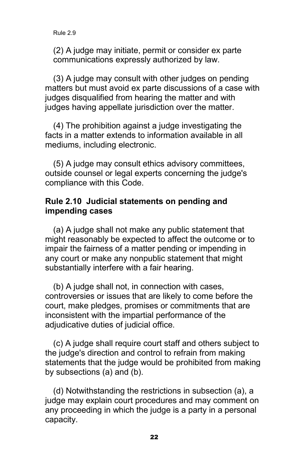(2) A judge may initiate, permit or consider ex parte communications expressly authorized by law.

(3) A judge may consult with other judges on pending matters but must avoid ex parte discussions of a case with judges disqualified from hearing the matter and with judges having appellate jurisdiction over the matter.

(4) The prohibition against a judge investigating the facts in a matter extends to information available in all mediums, including electronic.

(5) A judge may consult ethics advisory committees, outside counsel or legal experts concerning the judge's compliance with this Code.

#### **Rule 2.10 Judicial statements on pending and impending cases**

(a) A judge shall not make any public statement that might reasonably be expected to affect the outcome or to impair the fairness of a matter pending or impending in any court or make any nonpublic statement that might substantially interfere with a fair hearing.

(b) A judge shall not, in connection with cases, controversies or issues that are likely to come before the court, make pledges, promises or commitments that are inconsistent with the impartial performance of the adjudicative duties of judicial office.

(c) A judge shall require court staff and others subject to the judge's direction and control to refrain from making statements that the judge would be prohibited from making by subsections (a) and (b).

(d) Notwithstanding the restrictions in subsection (a), a judge may explain court procedures and may comment on any proceeding in which the judge is a party in a personal capacity.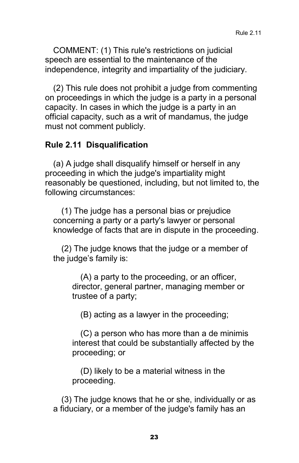COMMENT: (1) This rule's restrictions on judicial speech are essential to the maintenance of the independence, integrity and impartiality of the judiciary.

(2) This rule does not prohibit a judge from commenting on proceedings in which the judge is a party in a personal capacity. In cases in which the judge is a party in an official capacity, such as a writ of mandamus, the judge must not comment publicly.

#### **Rule 2.11 Disqualification**

(a) A judge shall disqualify himself or herself in any proceeding in which the judge's impartiality might reasonably be questioned, including, but not limited to, the following circumstances:

(1) The judge has a personal bias or prejudice concerning a party or a party's lawyer or personal knowledge of facts that are in dispute in the proceeding.

(2) The judge knows that the judge or a member of the judge's family is:

(A) a party to the proceeding, or an officer, director, general partner, managing member or trustee of a party;

(B) acting as a lawyer in the proceeding;

(C) a person who has more than a de minimis interest that could be substantially affected by the proceeding; or

(D) likely to be a material witness in the proceeding.

(3) The judge knows that he or she, individually or as a fiduciary, or a member of the judge's family has an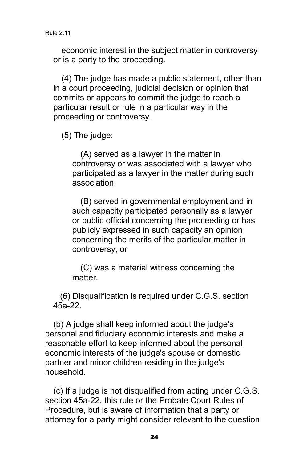economic interest in the subject matter in controversy or is a party to the proceeding.

(4) The judge has made a public statement, other than in a court proceeding, judicial decision or opinion that commits or appears to commit the judge to reach a particular result or rule in a particular way in the proceeding or controversy.

(5) The judge:

(A) served as a lawyer in the matter in controversy or was associated with a lawyer who participated as a lawyer in the matter during such association;

(B) served in governmental employment and in such capacity participated personally as a lawyer or public official concerning the proceeding or has publicly expressed in such capacity an opinion concerning the merits of the particular matter in controversy; or

(C) was a material witness concerning the matter.

(6) Disqualification is required under C.G.S. section 45a-22.

(b) A judge shall keep informed about the judge's personal and fiduciary economic interests and make a reasonable effort to keep informed about the personal economic interests of the judge's spouse or domestic partner and minor children residing in the judge's household.

(c) If a judge is not disqualified from acting under C.G.S. section 45a-22, this rule or the Probate Court Rules of Procedure, but is aware of information that a party or attorney for a party might consider relevant to the question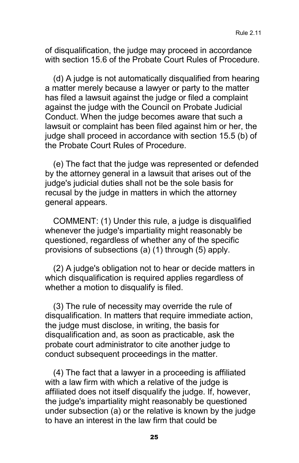of disqualification, the judge may proceed in accordance with section 15.6 of the Probate Court Rules of Procedure.

(d) A judge is not automatically disqualified from hearing a matter merely because a lawyer or party to the matter has filed a lawsuit against the judge or filed a complaint against the judge with the Council on Probate Judicial Conduct. When the judge becomes aware that such a lawsuit or complaint has been filed against him or her, the judge shall proceed in accordance with section 15.5 (b) of the Probate Court Rules of Procedure.

(e) The fact that the judge was represented or defended by the attorney general in a lawsuit that arises out of the judge's judicial duties shall not be the sole basis for recusal by the judge in matters in which the attorney general appears.

COMMENT: (1) Under this rule, a judge is disqualified whenever the judge's impartiality might reasonably be questioned, regardless of whether any of the specific provisions of subsections (a) (1) through (5) apply.

(2) A judge's obligation not to hear or decide matters in which disqualification is required applies regardless of whether a motion to disqualify is filed.

(3) The rule of necessity may override the rule of disqualification. In matters that require immediate action, the judge must disclose, in writing, the basis for disqualification and, as soon as practicable, ask the probate court administrator to cite another judge to conduct subsequent proceedings in the matter.

(4) The fact that a lawyer in a proceeding is affiliated with a law firm with which a relative of the judge is affiliated does not itself disqualify the judge. If, however, the judge's impartiality might reasonably be questioned under subsection (a) or the relative is known by the judge to have an interest in the law firm that could be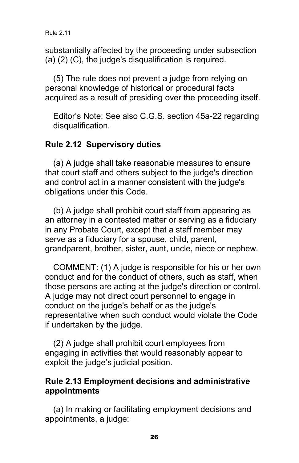substantially affected by the proceeding under subsection (a) (2) (C), the judge's disqualification is required.

(5) The rule does not prevent a judge from relying on personal knowledge of historical or procedural facts acquired as a result of presiding over the proceeding itself.

Editor's Note: See also C.G.S. section 45a-22 regarding disqualification.

#### **Rule 2.12 Supervisory duties**

(a) A judge shall take reasonable measures to ensure that court staff and others subject to the judge's direction and control act in a manner consistent with the judge's obligations under this Code.

(b) A judge shall prohibit court staff from appearing as an attorney in a contested matter or serving as a fiduciary in any Probate Court, except that a staff member may serve as a fiduciary for a spouse, child, parent, grandparent, brother, sister, aunt, uncle, niece or nephew.

COMMENT: (1) A judge is responsible for his or her own conduct and for the conduct of others, such as staff, when those persons are acting at the judge's direction or control. A judge may not direct court personnel to engage in conduct on the judge's behalf or as the judge's representative when such conduct would violate the Code if undertaken by the judge.

(2) A judge shall prohibit court employees from engaging in activities that would reasonably appear to exploit the judge's judicial position.

#### **Rule 2.13 Employment decisions and administrative appointments**

(a) In making or facilitating employment decisions and appointments, a judge: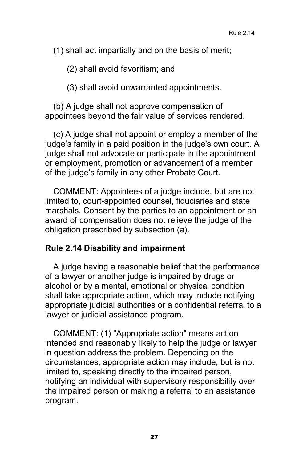(1) shall act impartially and on the basis of merit;

(2) shall avoid favoritism; and

(3) shall avoid unwarranted appointments.

(b) A judge shall not approve compensation of appointees beyond the fair value of services rendered.

(c) A judge shall not appoint or employ a member of the judge's family in a paid position in the judge's own court. A judge shall not advocate or participate in the appointment or employment, promotion or advancement of a member of the judge's family in any other Probate Court.

COMMENT: Appointees of a judge include, but are not limited to, court-appointed counsel, fiduciaries and state marshals. Consent by the parties to an appointment or an award of compensation does not relieve the judge of the obligation prescribed by subsection (a).

#### **Rule 2.14 Disability and impairment**

A judge having a reasonable belief that the performance of a lawyer or another judge is impaired by drugs or alcohol or by a mental, emotional or physical condition shall take appropriate action, which may include notifying appropriate judicial authorities or a confidential referral to a lawyer or judicial assistance program.

COMMENT: (1) "Appropriate action" means action intended and reasonably likely to help the judge or lawyer in question address the problem. Depending on the circumstances, appropriate action may include, but is not limited to, speaking directly to the impaired person, notifying an individual with supervisory responsibility over the impaired person or making a referral to an assistance program.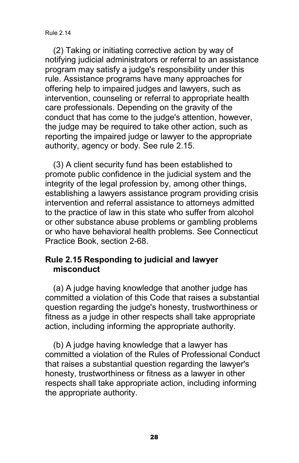(2) Taking or initiating corrective action by way of notifying judicial administrators or referral to an assistance program may satisfy a judge's responsibility under this rule. Assistance programs have many approaches for offering help to impaired judges and lawyers, such as intervention, counseling or referral to appropriate health care professionals. Depending on the gravity of the conduct that has come to the judge's attention, however, the judge may be required to take other action, such as reporting the impaired judge or lawyer to the appropriate authority, agency or body. See rule 2.15.

(3) A client security fund has been established to promote public confidence in the judicial system and the integrity of the legal profession by, among other things, establishing a lawyers assistance program providing crisis intervention and referral assistance to attorneys admitted to the practice of law in this state who suffer from alcohol or other substance abuse problems or gambling problems or who have behavioral health problems. See Connecticut Practice Book, section 2-68.

#### **Rule 2.15 Responding to judicial and lawyer misconduct**

(a) A judge having knowledge that another judge has committed a violation of this Code that raises a substantial question regarding the judge's honesty, trustworthiness or fitness as a judge in other respects shall take appropriate action, including informing the appropriate authority.

(b) A judge having knowledge that a lawyer has committed a violation of the Rules of Professional Conduct that raises a substantial question regarding the lawyer's honesty, trustworthiness or fitness as a lawyer in other respects shall take appropriate action, including informing the appropriate authority.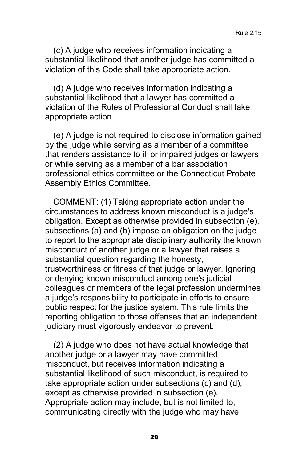(c) A judge who receives information indicating a substantial likelihood that another judge has committed a violation of this Code shall take appropriate action.

(d) A judge who receives information indicating a substantial likelihood that a lawyer has committed a violation of the Rules of Professional Conduct shall take appropriate action.

(e) A judge is not required to disclose information gained by the judge while serving as a member of a committee that renders assistance to ill or impaired judges or lawyers or while serving as a member of a bar association professional ethics committee or the Connecticut Probate Assembly Ethics Committee.

COMMENT: (1) Taking appropriate action under the circumstances to address known misconduct is a judge's obligation. Except as otherwise provided in subsection (e), subsections (a) and (b) impose an obligation on the judge to report to the appropriate disciplinary authority the known misconduct of another judge or a lawyer that raises a substantial question regarding the honesty, trustworthiness or fitness of that judge or lawyer. Ignoring or denying known misconduct among one's judicial colleagues or members of the legal profession undermines a judge's responsibility to participate in efforts to ensure public respect for the justice system. This rule limits the reporting obligation to those offenses that an independent judiciary must vigorously endeavor to prevent.

(2) A judge who does not have actual knowledge that another judge or a lawyer may have committed misconduct, but receives information indicating a substantial likelihood of such misconduct, is required to take appropriate action under subsections (c) and (d), except as otherwise provided in subsection (e). Appropriate action may include, but is not limited to, communicating directly with the judge who may have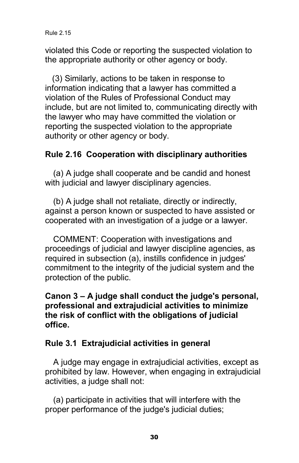violated this Code or reporting the suspected violation to the appropriate authority or other agency or body.

(3) Similarly, actions to be taken in response to information indicating that a lawyer has committed a violation of the Rules of Professional Conduct may include, but are not limited to, communicating directly with the lawyer who may have committed the violation or reporting the suspected violation to the appropriate authority or other agency or body.

#### **Rule 2.16 Cooperation with disciplinary authorities**

(a) A judge shall cooperate and be candid and honest with judicial and lawyer disciplinary agencies.

(b) A judge shall not retaliate, directly or indirectly, against a person known or suspected to have assisted or cooperated with an investigation of a judge or a lawyer.

COMMENT: Cooperation with investigations and proceedings of judicial and lawyer discipline agencies, as required in subsection (a), instills confidence in judges' commitment to the integrity of the judicial system and the protection of the public.

#### **Canon 3 – A judge shall conduct the judge's personal, professional and extrajudicial activities to minimize the risk of conflict with the obligations of judicial office.**

#### **Rule 3.1 Extrajudicial activities in general**

A judge may engage in extrajudicial activities, except as prohibited by law. However, when engaging in extrajudicial activities, a judge shall not:

(a) participate in activities that will interfere with the proper performance of the judge's judicial duties;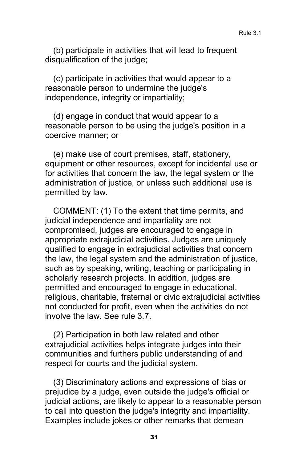(b) participate in activities that will lead to frequent disqualification of the judge;

(c) participate in activities that would appear to a reasonable person to undermine the judge's independence, integrity or impartiality;

(d) engage in conduct that would appear to a reasonable person to be using the judge's position in a coercive manner; or

(e) make use of court premises, staff, stationery, equipment or other resources, except for incidental use or for activities that concern the law, the legal system or the administration of justice, or unless such additional use is permitted by law.

COMMENT: (1) To the extent that time permits, and judicial independence and impartiality are not compromised, judges are encouraged to engage in appropriate extrajudicial activities. Judges are uniquely qualified to engage in extrajudicial activities that concern the law, the legal system and the administration of justice, such as by speaking, writing, teaching or participating in scholarly research projects. In addition, judges are permitted and encouraged to engage in educational, religious, charitable, fraternal or civic extrajudicial activities not conducted for profit, even when the activities do not involve the law. See rule 3.7.

(2) Participation in both law related and other extrajudicial activities helps integrate judges into their communities and furthers public understanding of and respect for courts and the judicial system.

(3) Discriminatory actions and expressions of bias or prejudice by a judge, even outside the judge's official or judicial actions, are likely to appear to a reasonable person to call into question the judge's integrity and impartiality. Examples include jokes or other remarks that demean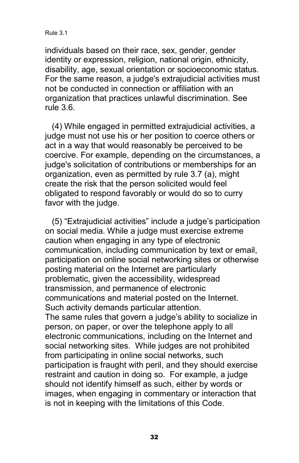Rule 3.1

individuals based on their race, sex, gender, gender identity or expression, religion, national origin, ethnicity, disability, age, sexual orientation or socioeconomic status. For the same reason, a judge's extrajudicial activities must not be conducted in connection or affiliation with an organization that practices unlawful discrimination. See rule 3.6.

(4) While engaged in permitted extrajudicial activities, a judge must not use his or her position to coerce others or act in a way that would reasonably be perceived to be coercive. For example, depending on the circumstances, a judge's solicitation of contributions or memberships for an organization, even as permitted by rule 3.7 (a), might create the risk that the person solicited would feel obligated to respond favorably or would do so to curry favor with the judge.

(5) "Extrajudicial activities" include a judge's participation on social media. While a judge must exercise extreme caution when engaging in any type of electronic communication, including communication by text or email, participation on online social networking sites or otherwise posting material on the Internet are particularly problematic, given the accessibility, widespread transmission, and permanence of electronic communications and material posted on the Internet. Such activity demands particular attention. The same rules that govern a judge's ability to socialize in person, on paper, or over the telephone apply to all electronic communications, including on the Internet and social networking sites. While judges are not prohibited from participating in online social networks, such participation is fraught with peril, and they should exercise restraint and caution in doing so. For example, a judge should not identify himself as such, either by words or images, when engaging in commentary or interaction that is not in keeping with the limitations of this Code.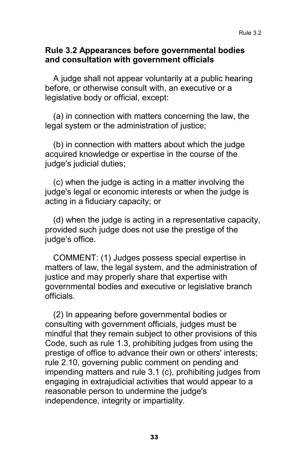#### **Rule 3.2 Appearances before governmental bodies and consultation with government officials**

A judge shall not appear voluntarily at a public hearing before, or otherwise consult with, an executive or a legislative body or official, except:

(a) in connection with matters concerning the law, the legal system or the administration of justice;

(b) in connection with matters about which the judge acquired knowledge or expertise in the course of the judge's judicial duties;

(c) when the judge is acting in a matter involving the judge's legal or economic interests or when the judge is acting in a fiduciary capacity; or

(d) when the judge is acting in a representative capacity, provided such judge does not use the prestige of the judge's office.

COMMENT: (1) Judges possess special expertise in matters of law, the legal system, and the administration of justice and may properly share that expertise with governmental bodies and executive or legislative branch officials.

(2) In appearing before governmental bodies or consulting with government officials, judges must be mindful that they remain subject to other provisions of this Code, such as rule 1.3, prohibiting judges from using the prestige of office to advance their own or others' interests; rule 2.10, governing public comment on pending and impending matters and rule 3.1 (c), prohibiting judges from engaging in extrajudicial activities that would appear to a reasonable person to undermine the judge's independence, integrity or impartiality.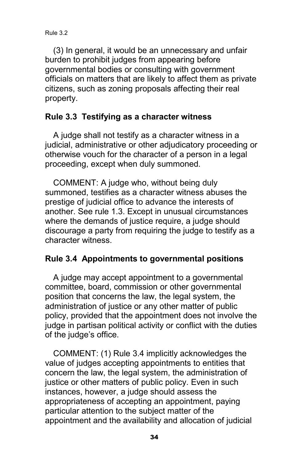(3) In general, it would be an unnecessary and unfair burden to prohibit judges from appearing before governmental bodies or consulting with government officials on matters that are likely to affect them as private citizens, such as zoning proposals affecting their real property.

#### **Rule 3.3 Testifying as a character witness**

A judge shall not testify as a character witness in a judicial, administrative or other adjudicatory proceeding or otherwise vouch for the character of a person in a legal proceeding, except when duly summoned.

COMMENT: A judge who, without being duly summoned, testifies as a character witness abuses the prestige of judicial office to advance the interests of another. See rule 1.3. Except in unusual circumstances where the demands of justice require, a judge should discourage a party from requiring the judge to testify as a character witness.

#### **Rule 3.4 Appointments to governmental positions**

A judge may accept appointment to a governmental committee, board, commission or other governmental position that concerns the law, the legal system, the administration of justice or any other matter of public policy, provided that the appointment does not involve the judge in partisan political activity or conflict with the duties of the judge's office.

COMMENT: (1) Rule 3.4 implicitly acknowledges the value of judges accepting appointments to entities that concern the law, the legal system, the administration of justice or other matters of public policy. Even in such instances, however, a judge should assess the appropriateness of accepting an appointment, paying particular attention to the subject matter of the appointment and the availability and allocation of judicial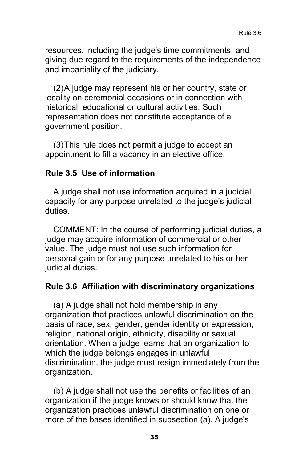resources, including the judge's time commitments, and giving due regard to the requirements of the independence and impartiality of the judiciary.

(2)A judge may represent his or her country, state or locality on ceremonial occasions or in connection with historical, educational or cultural activities. Such representation does not constitute acceptance of a government position.

(3)This rule does not permit a judge to accept an appointment to fill a vacancy in an elective office.

#### **Rule 3.5 Use of information**

A judge shall not use information acquired in a judicial capacity for any purpose unrelated to the judge's judicial duties.

COMMENT: In the course of performing judicial duties, a judge may acquire information of commercial or other value. The judge must not use such information for personal gain or for any purpose unrelated to his or her judicial duties.

#### **Rule 3.6 Affiliation with discriminatory organizations**

(a) A judge shall not hold membership in any organization that practices unlawful discrimination on the basis of race, sex, gender, gender identity or expression, religion, national origin, ethnicity, disability or sexual orientation. When a judge learns that an organization to which the judge belongs engages in unlawful discrimination, the judge must resign immediately from the organization.

(b) A judge shall not use the benefits or facilities of an organization if the judge knows or should know that the organization practices unlawful discrimination on one or more of the bases identified in subsection (a). A judge's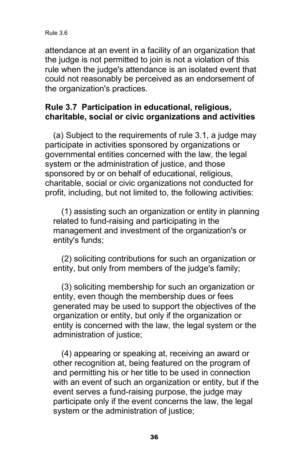Rule 3.6

attendance at an event in a facility of an organization that the judge is not permitted to join is not a violation of this rule when the judge's attendance is an isolated event that could not reasonably be perceived as an endorsement of the organization's practices.

#### **Rule 3.7 Participation in educational, religious, charitable, social or civic organizations and activities**

(a) Subject to the requirements of rule 3.1, a judge may participate in activities sponsored by organizations or governmental entities concerned with the law, the legal system or the administration of justice, and those sponsored by or on behalf of educational, religious, charitable, social or civic organizations not conducted for profit, including, but not limited to, the following activities:

(1) assisting such an organization or entity in planning related to fund-raising and participating in the management and investment of the organization's or entity's funds;

(2) soliciting contributions for such an organization or entity, but only from members of the judge's family;

(3) soliciting membership for such an organization or entity, even though the membership dues or fees generated may be used to support the objectives of the organization or entity, but only if the organization or entity is concerned with the law, the legal system or the administration of justice;

(4) appearing or speaking at, receiving an award or other recognition at, being featured on the program of and permitting his or her title to be used in connection with an event of such an organization or entity, but if the event serves a fund-raising purpose, the judge may participate only if the event concerns the law, the legal system or the administration of justice;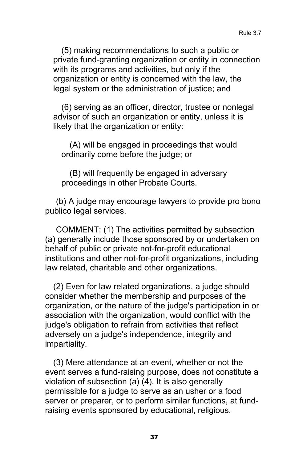(5) making recommendations to such a public or private fund-granting organization or entity in connection with its programs and activities, but only if the organization or entity is concerned with the law, the legal system or the administration of justice; and

(6) serving as an officer, director, trustee or nonlegal advisor of such an organization or entity, unless it is likely that the organization or entity:

(A) will be engaged in proceedings that would ordinarily come before the judge; or

(B) will frequently be engaged in adversary proceedings in other Probate Courts.

(b) A judge may encourage lawyers to provide pro bono publico legal services.

COMMENT: (1) The activities permitted by subsection (a) generally include those sponsored by or undertaken on behalf of public or private not-for-profit educational institutions and other not-for-profit organizations, including law related, charitable and other organizations.

(2) Even for law related organizations, a judge should consider whether the membership and purposes of the organization, or the nature of the judge's participation in or association with the organization, would conflict with the judge's obligation to refrain from activities that reflect adversely on a judge's independence, integrity and impartiality.

(3) Mere attendance at an event, whether or not the event serves a fund-raising purpose, does not constitute a violation of subsection (a) (4). It is also generally permissible for a judge to serve as an usher or a food server or preparer, or to perform similar functions, at fundraising events sponsored by educational, religious,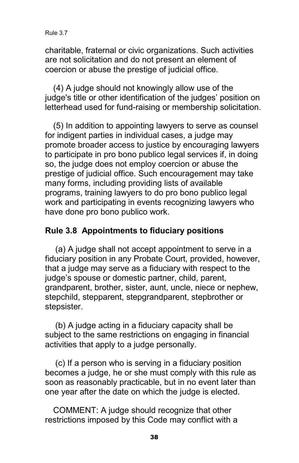charitable, fraternal or civic organizations. Such activities are not solicitation and do not present an element of coercion or abuse the prestige of judicial office.

(4) A judge should not knowingly allow use of the judge's title or other identification of the judges' position on letterhead used for fund-raising or membership solicitation.

(5) In addition to appointing lawyers to serve as counsel for indigent parties in individual cases, a judge may promote broader access to justice by encouraging lawyers to participate in pro bono publico legal services if, in doing so, the judge does not employ coercion or abuse the prestige of judicial office. Such encouragement may take many forms, including providing lists of available programs, training lawyers to do pro bono publico legal work and participating in events recognizing lawyers who have done pro bono publico work.

#### **Rule 3.8 Appointments to fiduciary positions**

(a) A judge shall not accept appointment to serve in a fiduciary position in any Probate Court, provided, however, that a judge may serve as a fiduciary with respect to the judge's spouse or domestic partner, child, parent, grandparent, brother, sister, aunt, uncle, niece or nephew, stepchild, stepparent, stepgrandparent, stepbrother or stepsister.

(b) A judge acting in a fiduciary capacity shall be subject to the same restrictions on engaging in financial activities that apply to a judge personally.

(c) If a person who is serving in a fiduciary position becomes a judge, he or she must comply with this rule as soon as reasonably practicable, but in no event later than one year after the date on which the judge is elected.

COMMENT: A judge should recognize that other restrictions imposed by this Code may conflict with a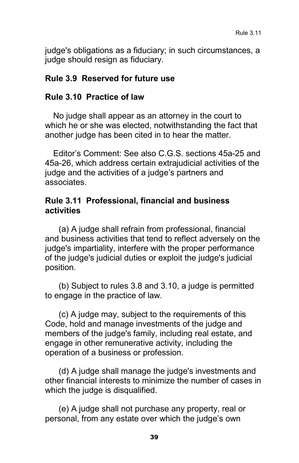judge's obligations as a fiduciary; in such circumstances, a judge should resign as fiduciary.

#### **Rule 3.9 Reserved for future use**

#### **Rule 3.10 Practice of law**

No judge shall appear as an attorney in the court to which he or she was elected, notwithstanding the fact that another judge has been cited in to hear the matter.

Editor's Comment: See also C.G.S. sections 45a-25 and 45a-26, which address certain extrajudicial activities of the judge and the activities of a judge's partners and associates.

#### **Rule 3.11 Professional, financial and business activities**

(a) A judge shall refrain from professional, financial and business activities that tend to reflect adversely on the judge's impartiality, interfere with the proper performance of the judge's judicial duties or exploit the judge's judicial position.

(b) Subject to rules 3.8 and 3.10, a judge is permitted to engage in the practice of law.

(c) A judge may, subject to the requirements of this Code, hold and manage investments of the judge and members of the judge's family, including real estate, and engage in other remunerative activity, including the operation of a business or profession.

(d) A judge shall manage the judge's investments and other financial interests to minimize the number of cases in which the judge is disqualified.

(e) A judge shall not purchase any property, real or personal, from any estate over which the judge's own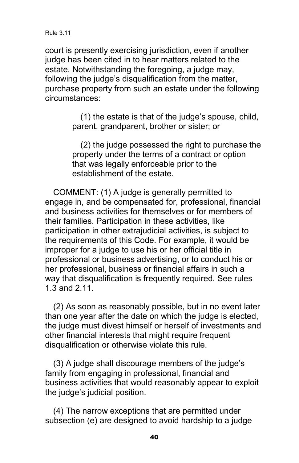court is presently exercising jurisdiction, even if another judge has been cited in to hear matters related to the estate. Notwithstanding the foregoing, a judge may, following the judge's disqualification from the matter, purchase property from such an estate under the following circumstances:

> (1) the estate is that of the judge's spouse, child, parent, grandparent, brother or sister; or

(2) the judge possessed the right to purchase the property under the terms of a contract or option that was legally enforceable prior to the establishment of the estate.

COMMENT: (1) A judge is generally permitted to engage in, and be compensated for, professional, financial and business activities for themselves or for members of their families. Participation in these activities, like participation in other extrajudicial activities, is subject to the requirements of this Code. For example, it would be improper for a judge to use his or her official title in professional or business advertising, or to conduct his or her professional, business or financial affairs in such a way that disqualification is frequently required. See rules 1.3 and 2.11.

(2) As soon as reasonably possible, but in no event later than one year after the date on which the judge is elected, the judge must divest himself or herself of investments and other financial interests that might require frequent disqualification or otherwise violate this rule.

(3) A judge shall discourage members of the judge's family from engaging in professional, financial and business activities that would reasonably appear to exploit the judge's judicial position.

(4) The narrow exceptions that are permitted under subsection (e) are designed to avoid hardship to a judge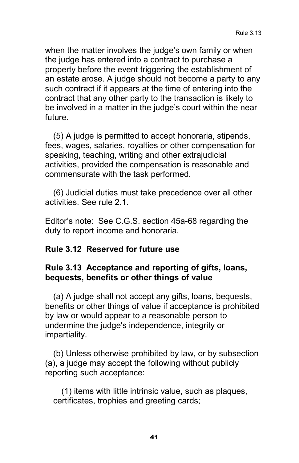when the matter involves the judge's own family or when the judge has entered into a contract to purchase a property before the event triggering the establishment of an estate arose. A judge should not become a party to any such contract if it appears at the time of entering into the contract that any other party to the transaction is likely to be involved in a matter in the judge's court within the near future.

(5) A judge is permitted to accept honoraria, stipends, fees, wages, salaries, royalties or other compensation for speaking, teaching, writing and other extrajudicial activities, provided the compensation is reasonable and commensurate with the task performed.

(6) Judicial duties must take precedence over all other activities. See rule 2.1.

Editor's note: See C.G.S. section 45a-68 regarding the duty to report income and honoraria.

#### **Rule 3.12 Reserved for future use**

#### **Rule 3.13 Acceptance and reporting of gifts, loans, bequests, benefits or other things of value**

(a) A judge shall not accept any gifts, loans, bequests, benefits or other things of value if acceptance is prohibited by law or would appear to a reasonable person to undermine the judge's independence, integrity or impartiality.

(b) Unless otherwise prohibited by law, or by subsection (a), a judge may accept the following without publicly reporting such acceptance:

(1) items with little intrinsic value, such as plaques, certificates, trophies and greeting cards;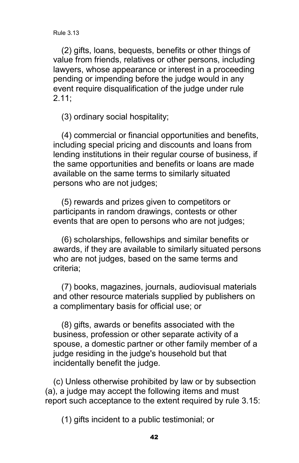(2) gifts, loans, bequests, benefits or other things of value from friends, relatives or other persons, including lawyers, whose appearance or interest in a proceeding pending or impending before the judge would in any event require disqualification of the judge under rule 2.11;

(3) ordinary social hospitality;

(4) commercial or financial opportunities and benefits, including special pricing and discounts and loans from lending institutions in their regular course of business, if the same opportunities and benefits or loans are made available on the same terms to similarly situated persons who are not judges;

(5) rewards and prizes given to competitors or participants in random drawings, contests or other events that are open to persons who are not judges;

(6) scholarships, fellowships and similar benefits or awards, if they are available to similarly situated persons who are not judges, based on the same terms and criteria;

(7) books, magazines, journals, audiovisual materials and other resource materials supplied by publishers on a complimentary basis for official use; or

(8) gifts, awards or benefits associated with the business, profession or other separate activity of a spouse, a domestic partner or other family member of a judge residing in the judge's household but that incidentally benefit the judge.

(c) Unless otherwise prohibited by law or by subsection (a), a judge may accept the following items and must report such acceptance to the extent required by rule 3.15:

(1) gifts incident to a public testimonial; or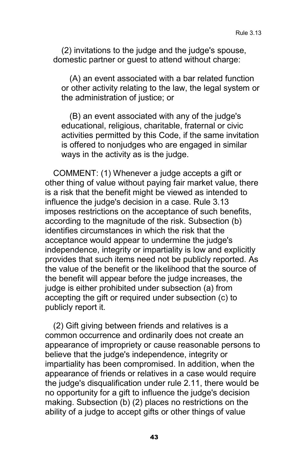(2) invitations to the judge and the judge's spouse, domestic partner or guest to attend without charge:

(A) an event associated with a bar related function or other activity relating to the law, the legal system or the administration of justice; or

(B) an event associated with any of the judge's educational, religious, charitable, fraternal or civic activities permitted by this Code, if the same invitation is offered to nonjudges who are engaged in similar ways in the activity as is the judge.

COMMENT: (1) Whenever a judge accepts a gift or other thing of value without paying fair market value, there is a risk that the benefit might be viewed as intended to influence the judge's decision in a case. Rule 3.13 imposes restrictions on the acceptance of such benefits, according to the magnitude of the risk. Subsection (b) identifies circumstances in which the risk that the acceptance would appear to undermine the judge's independence, integrity or impartiality is low and explicitly provides that such items need not be publicly reported. As the value of the benefit or the likelihood that the source of the benefit will appear before the judge increases, the judge is either prohibited under subsection (a) from accepting the gift or required under subsection (c) to publicly report it.

(2) Gift giving between friends and relatives is a common occurrence and ordinarily does not create an appearance of impropriety or cause reasonable persons to believe that the judge's independence, integrity or impartiality has been compromised. In addition, when the appearance of friends or relatives in a case would require the judge's disqualification under rule 2.11, there would be no opportunity for a gift to influence the judge's decision making. Subsection (b) (2) places no restrictions on the ability of a judge to accept gifts or other things of value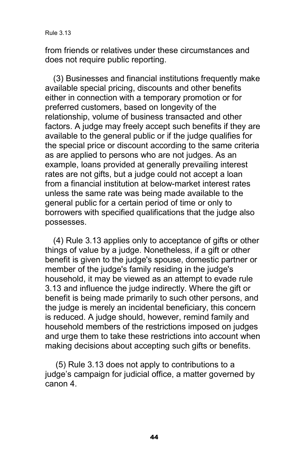from friends or relatives under these circumstances and does not require public reporting.

(3) Businesses and financial institutions frequently make available special pricing, discounts and other benefits either in connection with a temporary promotion or for preferred customers, based on longevity of the relationship, volume of business transacted and other factors. A judge may freely accept such benefits if they are available to the general public or if the judge qualifies for the special price or discount according to the same criteria as are applied to persons who are not judges. As an example, loans provided at generally prevailing interest rates are not gifts, but a judge could not accept a loan from a financial institution at below-market interest rates unless the same rate was being made available to the general public for a certain period of time or only to borrowers with specified qualifications that the judge also possesses.

(4) Rule 3.13 applies only to acceptance of gifts or other things of value by a judge. Nonetheless, if a gift or other benefit is given to the judge's spouse, domestic partner or member of the judge's family residing in the judge's household, it may be viewed as an attempt to evade rule 3.13 and influence the judge indirectly. Where the gift or benefit is being made primarily to such other persons, and the judge is merely an incidental beneficiary, this concern is reduced. A judge should, however, remind family and household members of the restrictions imposed on judges and urge them to take these restrictions into account when making decisions about accepting such gifts or benefits.

(5) Rule 3.13 does not apply to contributions to a judge's campaign for judicial office, a matter governed by canon 4.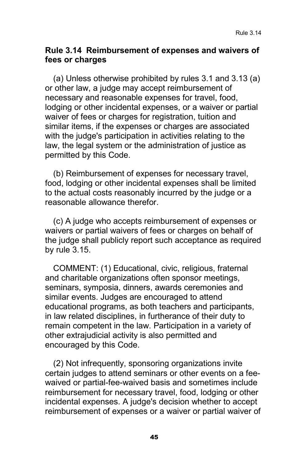#### **Rule 3.14 Reimbursement of expenses and waivers of fees or charges**

(a) Unless otherwise prohibited by rules 3.1 and 3.13 (a) or other law, a judge may accept reimbursement of necessary and reasonable expenses for travel, food, lodging or other incidental expenses, or a waiver or partial waiver of fees or charges for registration, tuition and similar items, if the expenses or charges are associated with the judge's participation in activities relating to the law, the legal system or the administration of justice as permitted by this Code.

(b) Reimbursement of expenses for necessary travel, food, lodging or other incidental expenses shall be limited to the actual costs reasonably incurred by the judge or a reasonable allowance therefor.

(c) A judge who accepts reimbursement of expenses or waivers or partial waivers of fees or charges on behalf of the judge shall publicly report such acceptance as required by rule 3.15.

COMMENT: (1) Educational, civic, religious, fraternal and charitable organizations often sponsor meetings, seminars, symposia, dinners, awards ceremonies and similar events. Judges are encouraged to attend educational programs, as both teachers and participants, in law related disciplines, in furtherance of their duty to remain competent in the law. Participation in a variety of other extrajudicial activity is also permitted and encouraged by this Code.

(2) Not infrequently, sponsoring organizations invite certain judges to attend seminars or other events on a feewaived or partial-fee-waived basis and sometimes include reimbursement for necessary travel, food, lodging or other incidental expenses. A judge's decision whether to accept reimbursement of expenses or a waiver or partial waiver of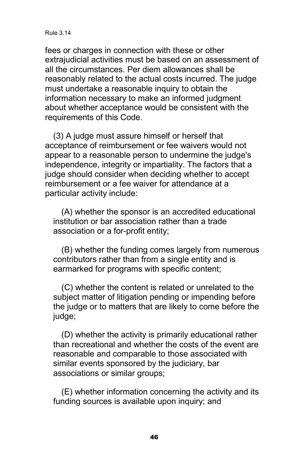#### Rule 3.14

fees or charges in connection with these or other extrajudicial activities must be based on an assessment of all the circumstances. Per diem allowances shall be reasonably related to the actual costs incurred. The judge must undertake a reasonable inquiry to obtain the information necessary to make an informed judgment about whether acceptance would be consistent with the requirements of this Code.

(3) A judge must assure himself or herself that acceptance of reimbursement or fee waivers would not appear to a reasonable person to undermine the judge's independence, integrity or impartiality. The factors that a judge should consider when deciding whether to accept reimbursement or a fee waiver for attendance at a particular activity include:

(A) whether the sponsor is an accredited educational institution or bar association rather than a trade association or a for-profit entity;

(B) whether the funding comes largely from numerous contributors rather than from a single entity and is earmarked for programs with specific content;

(C) whether the content is related or unrelated to the subject matter of litigation pending or impending before the judge or to matters that are likely to come before the judge;

(D) whether the activity is primarily educational rather than recreational and whether the costs of the event are reasonable and comparable to those associated with similar events sponsored by the judiciary, bar associations or similar groups;

(E) whether information concerning the activity and its funding sources is available upon inquiry; and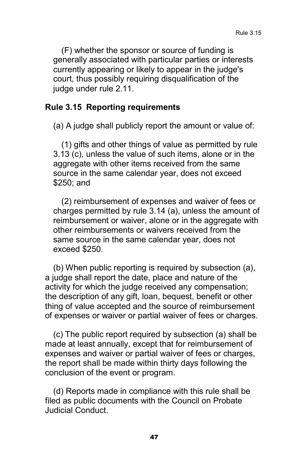(F) whether the sponsor or source of funding is generally associated with particular parties or interests currently appearing or likely to appear in the judge's court, thus possibly requiring disqualification of the judge under rule 2.11.

#### **Rule 3.15 Reporting requirements**

(a) A judge shall publicly report the amount or value of:

(1) gifts and other things of value as permitted by rule 3.13 (c), unless the value of such items, alone or in the aggregate with other items received from the same source in the same calendar year, does not exceed \$250; and

(2) reimbursement of expenses and waiver of fees or charges permitted by rule 3.14 (a), unless the amount of reimbursement or waiver, alone or in the aggregate with other reimbursements or waivers received from the same source in the same calendar year, does not exceed \$250.

(b) When public reporting is required by subsection (a), a judge shall report the date, place and nature of the activity for which the judge received any compensation; the description of any gift, loan, bequest, benefit or other thing of value accepted and the source of reimbursement of expenses or waiver or partial waiver of fees or charges.

(c) The public report required by subsection (a) shall be made at least annually, except that for reimbursement of expenses and waiver or partial waiver of fees or charges, the report shall be made within thirty days following the conclusion of the event or program.

(d) Reports made in compliance with this rule shall be filed as public documents with the Council on Probate Judicial Conduct.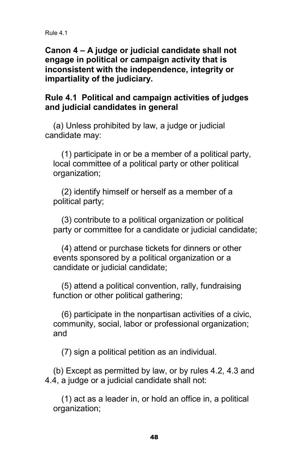**Canon 4 – A judge or judicial candidate shall not engage in political or campaign activity that is inconsistent with the independence, integrity or impartiality of the judiciary.**

#### **Rule 4.1 Political and campaign activities of judges and judicial candidates in general**

(a) Unless prohibited by law, a judge or judicial candidate may:

(1) participate in or be a member of a political party, local committee of a political party or other political organization;

(2) identify himself or herself as a member of a political party;

(3) contribute to a political organization or political party or committee for a candidate or judicial candidate;

(4) attend or purchase tickets for dinners or other events sponsored by a political organization or a candidate or judicial candidate;

(5) attend a political convention, rally, fundraising function or other political gathering;

(6) participate in the nonpartisan activities of a civic, community, social, labor or professional organization; and

(7) sign a political petition as an individual.

(b) Except as permitted by law, or by rules 4.2, 4.3 and 4.4, a judge or a judicial candidate shall not:

(1) act as a leader in, or hold an office in, a political organization;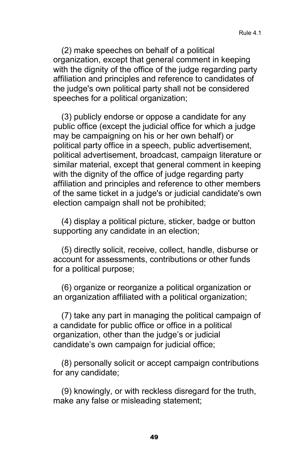(2) make speeches on behalf of a political organization, except that general comment in keeping with the dignity of the office of the judge regarding party affiliation and principles and reference to candidates of the judge's own political party shall not be considered speeches for a political organization;

(3) publicly endorse or oppose a candidate for any public office (except the judicial office for which a judge may be campaigning on his or her own behalf) or political party office in a speech, public advertisement, political advertisement, broadcast, campaign literature or similar material, except that general comment in keeping with the dignity of the office of judge regarding party affiliation and principles and reference to other members of the same ticket in a judge's or judicial candidate's own election campaign shall not be prohibited;

(4) display a political picture, sticker, badge or button supporting any candidate in an election;

(5) directly solicit, receive, collect, handle, disburse or account for assessments, contributions or other funds for a political purpose;

(6) organize or reorganize a political organization or an organization affiliated with a political organization;

(7) take any part in managing the political campaign of a candidate for public office or office in a political organization, other than the judge's or judicial candidate's own campaign for judicial office;

(8) personally solicit or accept campaign contributions for any candidate;

(9) knowingly, or with reckless disregard for the truth, make any false or misleading statement;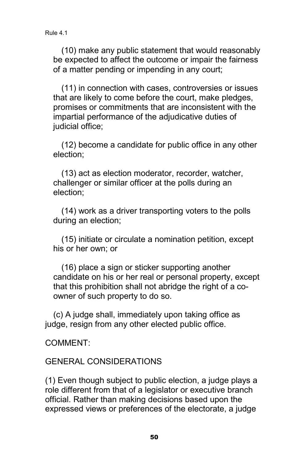(10) make any public statement that would reasonably be expected to affect the outcome or impair the fairness of a matter pending or impending in any court;

(11) in connection with cases, controversies or issues that are likely to come before the court, make pledges, promises or commitments that are inconsistent with the impartial performance of the adjudicative duties of judicial office;

(12) become a candidate for public office in any other election;

(13) act as election moderator, recorder, watcher, challenger or similar officer at the polls during an election;

(14) work as a driver transporting voters to the polls during an election;

(15) initiate or circulate a nomination petition, except his or her own; or

(16) place a sign or sticker supporting another candidate on his or her real or personal property, except that this prohibition shall not abridge the right of a coowner of such property to do so.

(c) A judge shall, immediately upon taking office as judge, resign from any other elected public office.

#### COMMENT:

#### GENERAL CONSIDERATIONS

(1) Even though subject to public election, a judge plays a role different from that of a legislator or executive branch official. Rather than making decisions based upon the expressed views or preferences of the electorate, a judge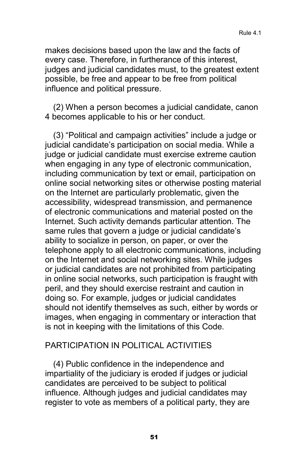makes decisions based upon the law and the facts of every case. Therefore, in furtherance of this interest, judges and judicial candidates must, to the greatest extent possible, be free and appear to be free from political influence and political pressure.

(2) When a person becomes a judicial candidate, canon 4 becomes applicable to his or her conduct.

(3) "Political and campaign activities" include a judge or judicial candidate's participation on social media. While a judge or judicial candidate must exercise extreme caution when engaging in any type of electronic communication, including communication by text or email, participation on online social networking sites or otherwise posting material on the Internet are particularly problematic, given the accessibility, widespread transmission, and permanence of electronic communications and material posted on the Internet. Such activity demands particular attention. The same rules that govern a judge or judicial candidate's ability to socialize in person, on paper, or over the telephone apply to all electronic communications, including on the Internet and social networking sites. While judges or judicial candidates are not prohibited from participating in online social networks, such participation is fraught with peril, and they should exercise restraint and caution in doing so. For example, judges or judicial candidates should not identify themselves as such, either by words or images, when engaging in commentary or interaction that is not in keeping with the limitations of this Code.

#### PARTICIPATION IN POLITICAL ACTIVITIES

(4) Public confidence in the independence and impartiality of the judiciary is eroded if judges or judicial candidates are perceived to be subject to political influence. Although judges and judicial candidates may register to vote as members of a political party, they are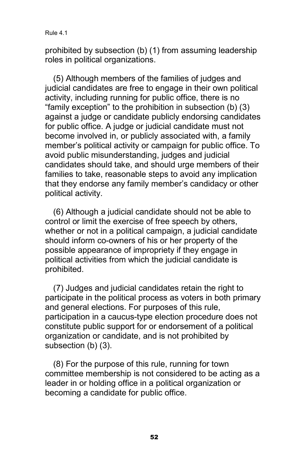prohibited by subsection (b) (1) from assuming leadership roles in political organizations.

(5) Although members of the families of judges and judicial candidates are free to engage in their own political activity, including running for public office, there is no "family exception" to the prohibition in subsection (b) (3) against a judge or candidate publicly endorsing candidates for public office. A judge or judicial candidate must not become involved in, or publicly associated with, a family member's political activity or campaign for public office. To avoid public misunderstanding, judges and judicial candidates should take, and should urge members of their families to take, reasonable steps to avoid any implication that they endorse any family member's candidacy or other political activity.

(6) Although a judicial candidate should not be able to control or limit the exercise of free speech by others, whether or not in a political campaign, a judicial candidate should inform co-owners of his or her property of the possible appearance of impropriety if they engage in political activities from which the judicial candidate is prohibited.

(7) Judges and judicial candidates retain the right to participate in the political process as voters in both primary and general elections. For purposes of this rule, participation in a caucus-type election procedure does not constitute public support for or endorsement of a political organization or candidate, and is not prohibited by subsection (b) (3).

(8) For the purpose of this rule, running for town committee membership is not considered to be acting as a leader in or holding office in a political organization or becoming a candidate for public office.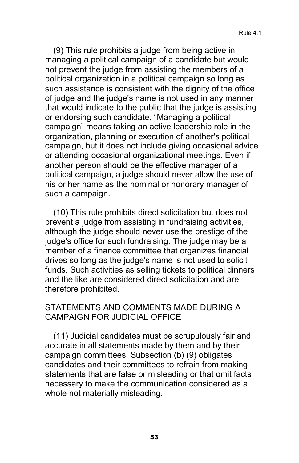(9) This rule prohibits a judge from being active in managing a political campaign of a candidate but would not prevent the judge from assisting the members of a political organization in a political campaign so long as such assistance is consistent with the dignity of the office of judge and the judge's name is not used in any manner that would indicate to the public that the judge is assisting or endorsing such candidate. "Managing a political campaign" means taking an active leadership role in the organization, planning or execution of another's political campaign, but it does not include giving occasional advice or attending occasional organizational meetings. Even if another person should be the effective manager of a political campaign, a judge should never allow the use of his or her name as the nominal or honorary manager of such a campaign.

(10) This rule prohibits direct solicitation but does not prevent a judge from assisting in fundraising activities, although the judge should never use the prestige of the judge's office for such fundraising. The judge may be a member of a finance committee that organizes financial drives so long as the judge's name is not used to solicit funds. Such activities as selling tickets to political dinners and the like are considered direct solicitation and are therefore prohibited.

#### STATEMENTS AND COMMENTS MADE DURING A CAMPAIGN FOR JUDICIAL OFFICE

(11) Judicial candidates must be scrupulously fair and accurate in all statements made by them and by their campaign committees. Subsection (b) (9) obligates candidates and their committees to refrain from making statements that are false or misleading or that omit facts necessary to make the communication considered as a whole not materially misleading.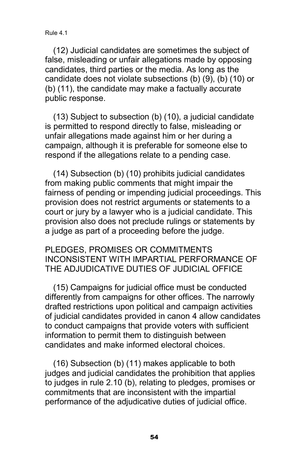Rule 4.1

(12) Judicial candidates are sometimes the subject of false, misleading or unfair allegations made by opposing candidates, third parties or the media. As long as the candidate does not violate subsections (b) (9), (b) (10) or (b) (11), the candidate may make a factually accurate public response.

(13) Subject to subsection (b) (10), a judicial candidate is permitted to respond directly to false, misleading or unfair allegations made against him or her during a campaign, although it is preferable for someone else to respond if the allegations relate to a pending case.

(14) Subsection (b) (10) prohibits judicial candidates from making public comments that might impair the fairness of pending or impending judicial proceedings. This provision does not restrict arguments or statements to a court or jury by a lawyer who is a judicial candidate. This provision also does not preclude rulings or statements by a judge as part of a proceeding before the judge.

PLEDGES, PROMISES OR COMMITMENTS INCONSISTENT WITH IMPARTIAL PERFORMANCE OF THE ADJUDICATIVE DUTIES OF JUDICIAL OFFICE

(15) Campaigns for judicial office must be conducted differently from campaigns for other offices. The narrowly drafted restrictions upon political and campaign activities of judicial candidates provided in canon 4 allow candidates to conduct campaigns that provide voters with sufficient information to permit them to distinguish between candidates and make informed electoral choices.

(16) Subsection (b) (11) makes applicable to both judges and judicial candidates the prohibition that applies to judges in rule 2.10 (b), relating to pledges, promises or commitments that are inconsistent with the impartial performance of the adjudicative duties of judicial office.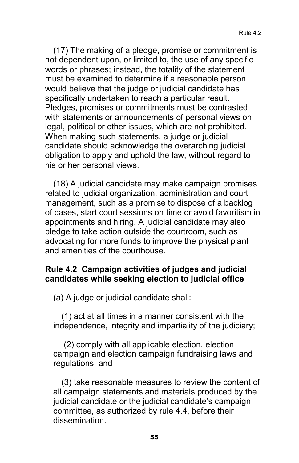(17) The making of a pledge, promise or commitment is not dependent upon, or limited to, the use of any specific words or phrases; instead, the totality of the statement must be examined to determine if a reasonable person would believe that the judge or judicial candidate has specifically undertaken to reach a particular result. Pledges, promises or commitments must be contrasted with statements or announcements of personal views on legal, political or other issues, which are not prohibited. When making such statements, a judge or judicial candidate should acknowledge the overarching judicial obligation to apply and uphold the law, without regard to his or her personal views.

(18) A judicial candidate may make campaign promises related to judicial organization, administration and court management, such as a promise to dispose of a backlog of cases, start court sessions on time or avoid favoritism in appointments and hiring. A judicial candidate may also pledge to take action outside the courtroom, such as advocating for more funds to improve the physical plant and amenities of the courthouse.

#### **Rule 4.2 Campaign activities of judges and judicial candidates while seeking election to judicial office**

(a) A judge or judicial candidate shall:

(1) act at all times in a manner consistent with the independence, integrity and impartiality of the judiciary;

(2) comply with all applicable election, election campaign and election campaign fundraising laws and regulations; and

(3) take reasonable measures to review the content of all campaign statements and materials produced by the judicial candidate or the judicial candidate's campaign committee, as authorized by rule 4.4, before their dissemination.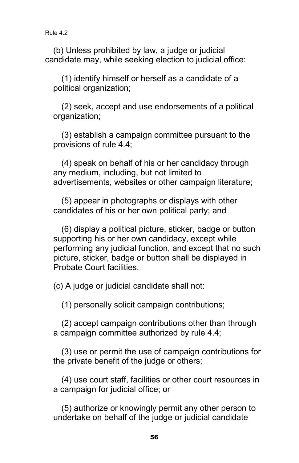(b) Unless prohibited by law, a judge or judicial candidate may, while seeking election to judicial office:

(1) identify himself or herself as a candidate of a political organization;

(2) seek, accept and use endorsements of a political organization;

(3) establish a campaign committee pursuant to the provisions of rule 4.4;

(4) speak on behalf of his or her candidacy through any medium, including, but not limited to advertisements, websites or other campaign literature;

(5) appear in photographs or displays with other candidates of his or her own political party; and

(6) display a political picture, sticker, badge or button supporting his or her own candidacy, except while performing any judicial function, and except that no such picture, sticker, badge or button shall be displayed in Probate Court facilities.

(c) A judge or judicial candidate shall not:

(1) personally solicit campaign contributions;

(2) accept campaign contributions other than through a campaign committee authorized by rule 4.4;

(3) use or permit the use of campaign contributions for the private benefit of the judge or others;

(4) use court staff, facilities or other court resources in a campaign for judicial office; or

(5) authorize or knowingly permit any other person to undertake on behalf of the judge or judicial candidate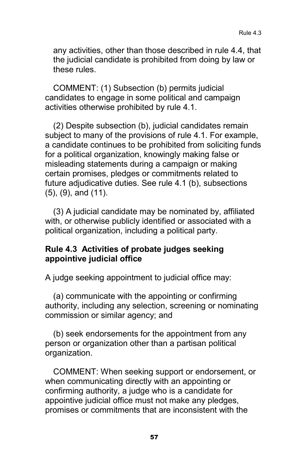any activities, other than those described in rule 4.4, that the judicial candidate is prohibited from doing by law or these rules.

COMMENT: (1) Subsection (b) permits judicial candidates to engage in some political and campaign activities otherwise prohibited by rule 4.1.

(2) Despite subsection (b), judicial candidates remain subject to many of the provisions of rule 4.1. For example, a candidate continues to be prohibited from soliciting funds for a political organization, knowingly making false or misleading statements during a campaign or making certain promises, pledges or commitments related to future adjudicative duties. See rule 4.1 (b), subsections (5), (9), and (11).

(3) A judicial candidate may be nominated by, affiliated with, or otherwise publicly identified or associated with a political organization, including a political party.

#### **Rule 4.3 Activities of probate judges seeking appointive judicial office**

A judge seeking appointment to judicial office may:

(a) communicate with the appointing or confirming authority, including any selection, screening or nominating commission or similar agency; and

(b) seek endorsements for the appointment from any person or organization other than a partisan political organization.

COMMENT: When seeking support or endorsement, or when communicating directly with an appointing or confirming authority, a judge who is a candidate for appointive judicial office must not make any pledges, promises or commitments that are inconsistent with the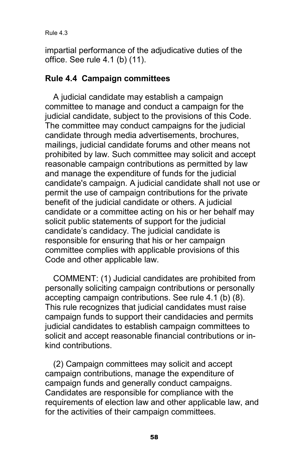impartial performance of the adjudicative duties of the office. See rule 4.1 (b) (11).

#### **Rule 4.4 Campaign committees**

A judicial candidate may establish a campaign committee to manage and conduct a campaign for the judicial candidate, subject to the provisions of this Code. The committee may conduct campaigns for the judicial candidate through media advertisements, brochures, mailings, judicial candidate forums and other means not prohibited by law. Such committee may solicit and accept reasonable campaign contributions as permitted by law and manage the expenditure of funds for the judicial candidate's campaign. A judicial candidate shall not use or permit the use of campaign contributions for the private benefit of the judicial candidate or others. A judicial candidate or a committee acting on his or her behalf may solicit public statements of support for the judicial candidate's candidacy. The judicial candidate is responsible for ensuring that his or her campaign committee complies with applicable provisions of this Code and other applicable law.

COMMENT: (1) Judicial candidates are prohibited from personally soliciting campaign contributions or personally accepting campaign contributions. See rule 4.1 (b) (8). This rule recognizes that judicial candidates must raise campaign funds to support their candidacies and permits judicial candidates to establish campaign committees to solicit and accept reasonable financial contributions or inkind contributions.

(2) Campaign committees may solicit and accept campaign contributions, manage the expenditure of campaign funds and generally conduct campaigns. Candidates are responsible for compliance with the requirements of election law and other applicable law, and for the activities of their campaign committees.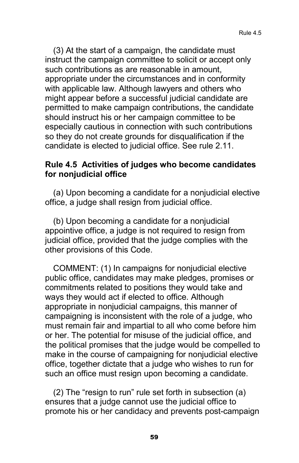(3) At the start of a campaign, the candidate must instruct the campaign committee to solicit or accept only such contributions as are reasonable in amount, appropriate under the circumstances and in conformity with applicable law. Although lawyers and others who might appear before a successful judicial candidate are permitted to make campaign contributions, the candidate should instruct his or her campaign committee to be especially cautious in connection with such contributions so they do not create grounds for disqualification if the candidate is elected to judicial office. See rule 2.11.

#### **Rule 4.5 Activities of judges who become candidates for nonjudicial office**

(a) Upon becoming a candidate for a nonjudicial elective office, a judge shall resign from judicial office.

(b) Upon becoming a candidate for a nonjudicial appointive office, a judge is not required to resign from judicial office, provided that the judge complies with the other provisions of this Code.

COMMENT: (1) In campaigns for nonjudicial elective public office, candidates may make pledges, promises or commitments related to positions they would take and ways they would act if elected to office. Although appropriate in nonjudicial campaigns, this manner of campaigning is inconsistent with the role of a judge, who must remain fair and impartial to all who come before him or her. The potential for misuse of the judicial office, and the political promises that the judge would be compelled to make in the course of campaigning for nonjudicial elective office, together dictate that a judge who wishes to run for such an office must resign upon becoming a candidate.

(2) The "resign to run" rule set forth in subsection (a) ensures that a judge cannot use the judicial office to promote his or her candidacy and prevents post-campaign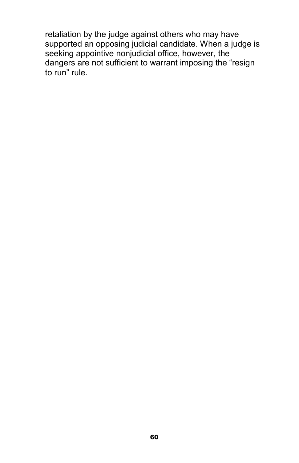retaliation by the judge against others who may have supported an opposing judicial candidate. When a judge is seeking appointive nonjudicial office, however, the dangers are not sufficient to warrant imposing the "resign to run" rule.